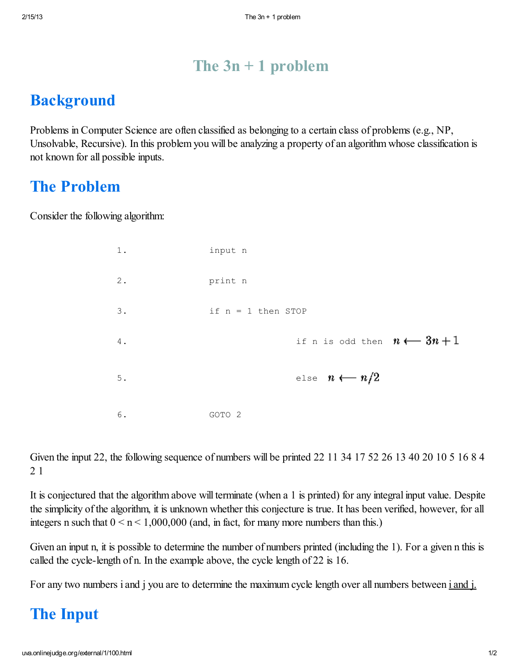#### The 3*n* + 1 problem

#### **Background**

Problems in Computer Science are often classified as belonging to a certain class of problems (e.g., NP, Unsolvable, Recursive). In this problem you will be analyzing a property of an algorithm whose classification is not known for all possible inputs.

#### The Problem

Consider the following algorithm:

| 1. | input n                              |
|----|--------------------------------------|
| 2. | print n                              |
| 3. | if $n = 1$ then STOP                 |
| 4. | if n is odd then $n \leftarrow 3n+1$ |
| 5. | else $n \leftarrow n/2$              |
| 6. | GOTO <sub>2</sub>                    |

Given the input 22, the following sequence of numbers will be printed 22 11 34 17 52 26 13 40 20 10 5 16 8 4 2 1

It is conjectured that the algorithm above will terminate (when a 1 is printed) for any integral input value. Despite the simplicity of the algorithm, it is unknown whether this conjecture is true. It has been verified, however, for all integers *n* such that  $0 \le n \le 1,000,000$  (and, in fact, for many more numbers than this.)

Given an input *n*, it is possible to determine the number of numbers printed (including the 1). For a given *n* this is called the *cycle-length* of *n*. In the example above, the cycle length of 22 is 16.

For any two numbers *i* and *j* you are to determine the maximum cycle length over all numbers between *i* and *j*.

#### The Input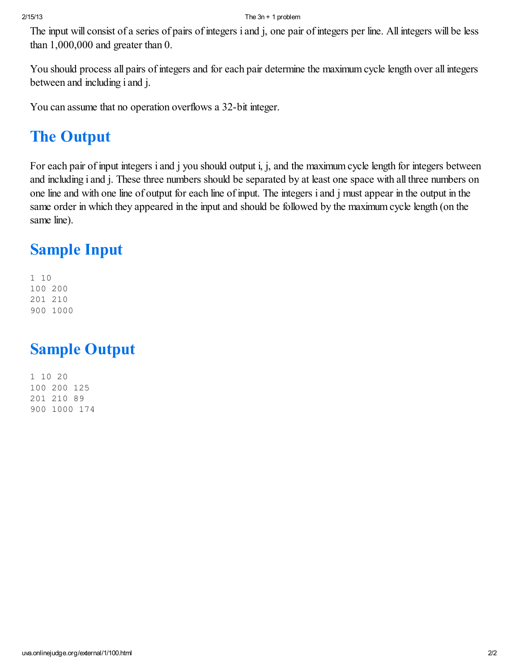The input will consist of a series of pairs of integers *i* and *j*, one pair of integers per line. All integers will be less than 1,000,000 and greater than 0.

You should process all pairs of integers and for each pair determine the maximum cycle length over all integers between and including *i* and *j*.

You can assume that no operation overflows a 32-bit integer.

### The Output

For each pair of input integers *i* and *j* you should output *i*, *j*, and the maximum cycle length for integers between and including *i* and *j*. These three numbers should be separated by at least one space with all three numbers on one line and with one line of output for each line of input. The integers *i* and *j* must appear in the output in the same order in which they appeared in the input and should be followed by the maximum cycle length (on the same line).

### Sample Input

1 10 100 200 201 210 900 1000

#### Sample Output

1 10 20 100 200 125 201 210 89 900 1000 174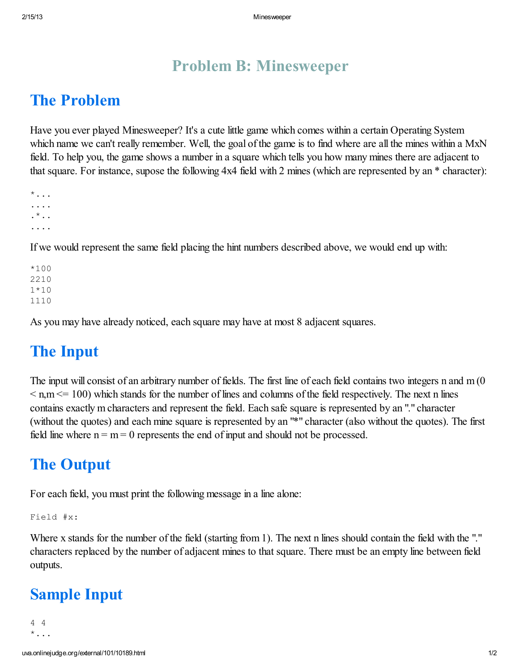#### Problem B: Minesweeper

#### The Problem

Have you ever played Minesweeper? It's a cute little game which comes within a certain Operating System which name we can't really remember. Well, the goal of the game is to find where are all the mines within a MxN field. To help you, the game shows a number in a square which tells you how many mines there are adjacent to that square. For instance, supose the following 4x4 field with 2 mines (which are represented by an \* character):

```
*...
....
.*..
....
```
If we would represent the same field placing the hint numbers described above, we would end up with:

 $*100$ 2210 1\*10 1110

As you may have already noticed, each square may have at most 8 adjacent squares.

#### The Input

The input will consist of an arbitrary number of fields. The first line of each field contains two integers n and m (0  $\leq n,m \leq 100$ ) which stands for the number of lines and columns of the field respectively. The next n lines contains exactly m characters and represent the field. Each safe square is represented by an "." character (without the quotes) and each mine square is represented by an "\*" character (also without the quotes). The first field line where  $n = m = 0$  represents the end of input and should not be processed.

#### The Output

For each field, you must print the following message in a line alone:

Field #x:

Where x stands for the number of the field (starting from 1). The next n lines should contain the field with the "." characters replaced by the number of adjacent mines to that square. There must be an empty line between field outputs.

#### Sample Input

```
4 4
* \dots
```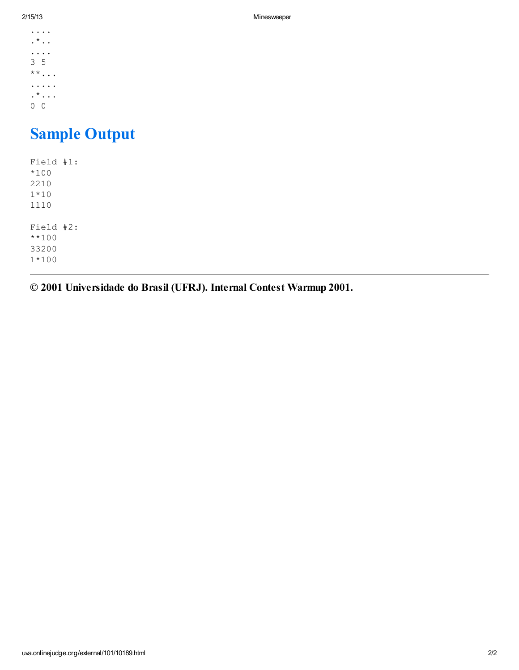.... .  $^\star$  . . .... 3 5 \*\*... .....  $\cdot$ \* $\cdot$ ... 0 0

# Sample Output

| Field #1: |  |
|-----------|--|
| $*100$    |  |
| 2210      |  |
| $1*10$    |  |
| 1110      |  |
|           |  |
| Field #2: |  |
| $***100$  |  |
| 33200     |  |
| $1*100$   |  |
|           |  |

© 2001 Universidade do Brasil (UFRJ). Internal Contest Warmup 2001.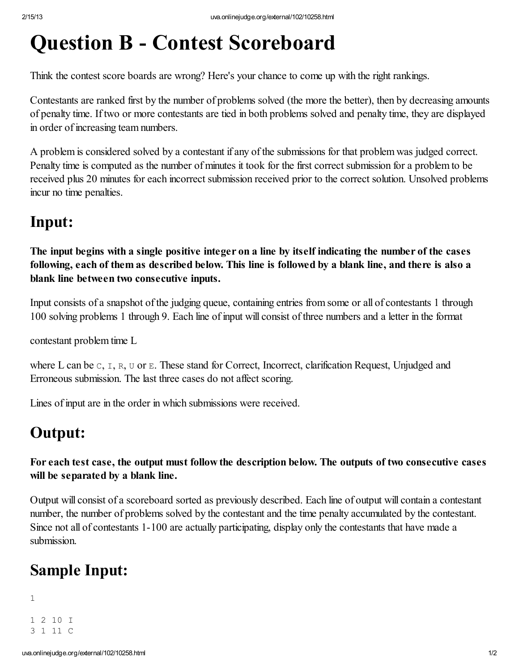# Question B - Contest Scoreboard

Think the contest score boards are wrong? Here's your chance to come up with the right rankings.

Contestants are ranked first by the number of problems solved (the more the better), then by decreasing amounts of penalty time. If two or more contestants are tied in both problems solved and penalty time, they are displayed in order of increasing team numbers.

A problem is considered solved by a contestant if any of the submissions for that problem was judged correct. Penalty time is computed as the number of minutes it took for the first correct submission for a problem to be received plus 20 minutes for each incorrect submission received prior to the correct solution. Unsolved problems incur no time penalties.

#### Input:

The input begins with a single positive integer on a line by itself indicating the number of the cases following, each of them as described below. This line is followed by a blank line, and there is also a blank line between two consecutive inputs.

Input consists of a snapshot of the judging queue, containing entries from some or all of contestants 1 through 100 solving problems 1 through 9. Each line of input will consist of three numbers and a letter in the format

*contestant problem time L*

where *L* can be c, I, R, U or E. These stand for Correct, Incorrect, clarification Request, Unjudged and Erroneous submission. The last three cases do not affect scoring.

Lines of input are in the order in which submissions were received.

#### Output:

For each test case, the output must follow the description below. The outputs of two consecutive cases will be separated by a blank line.

Output will consist of a scoreboard sorted as previously described. Each line of output will contain a contestant number, the number of problems solved by the contestant and the time penalty accumulated by the contestant. Since not all of contestants 1-100 are actually participating, display only the contestants that have made a submission.

# Sample Input:

1

1 2 10 I 3 1 11 C